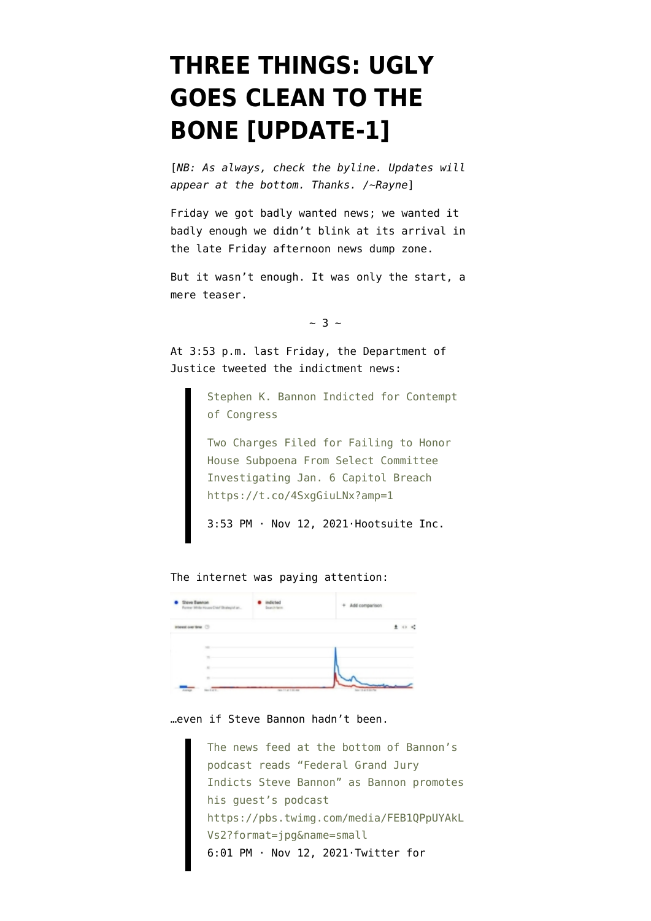## **[THREE THINGS: UGLY](https://www.emptywheel.net/2021/11/15/three-things-ugly-goes-clean-to-the-bone/) [GOES CLEAN TO THE](https://www.emptywheel.net/2021/11/15/three-things-ugly-goes-clean-to-the-bone/) [BONE \[UPDATE-1\]](https://www.emptywheel.net/2021/11/15/three-things-ugly-goes-clean-to-the-bone/)**

[*NB: As always, check the byline. Updates will appear at the bottom. Thanks. /~Rayne*]

Friday we got badly wanted news; we wanted it badly enough we didn't blink at its arrival in the late Friday afternoon news dump zone.

But it wasn't enough. It was only the start, a mere teaser.

 $\sim$  3  $\sim$ 

At 3:53 p.m. last Friday, the Department of Justice tweeted the indictment news:

> Stephen K. Bannon Indicted for Contempt of Congress

Two Charges Filed for Failing to Honor House Subpoena From Select Committee Investigating Jan. 6 Capitol Breach https://t.co/4SxgGiuLNx?amp=1

[3:53 PM · Nov 12, 2021·Hootsuite Inc.](https://twitter.com/TheJusticeDept/status/1459263199228870663?ref_src=twsrc%5Etfw)

The internet was paying attention:

| · Steve Bannon<br>Former White House Chief Strategist an | indicted<br>Search farm | + Add comparison    |
|----------------------------------------------------------|-------------------------|---------------------|
| interest over time (3)                                   |                         | 生 の 忙               |
|                                                          |                         |                     |
| $\sim$<br>$\overline{a}$                                 |                         |                     |
| $\sim$<br>Norter).<br>Aurup                              | No. 11 or 1 to Any      | No. 13 at 9 literal |

…even if Steve Bannon hadn't been.

The news feed at the bottom of Bannon's podcast reads "Federal Grand Jury Indicts Steve Bannon" as Bannon promotes his guest's podcast https://pbs.twimg.com/media/FEB1QPpUYAkL Vs2?format=jpg&name=small [6:01 PM · Nov 12, 2021·Twitter for](https://twitter.com/Acyn/status/1459295203504754690?ref_src=twsrc%5Etfw)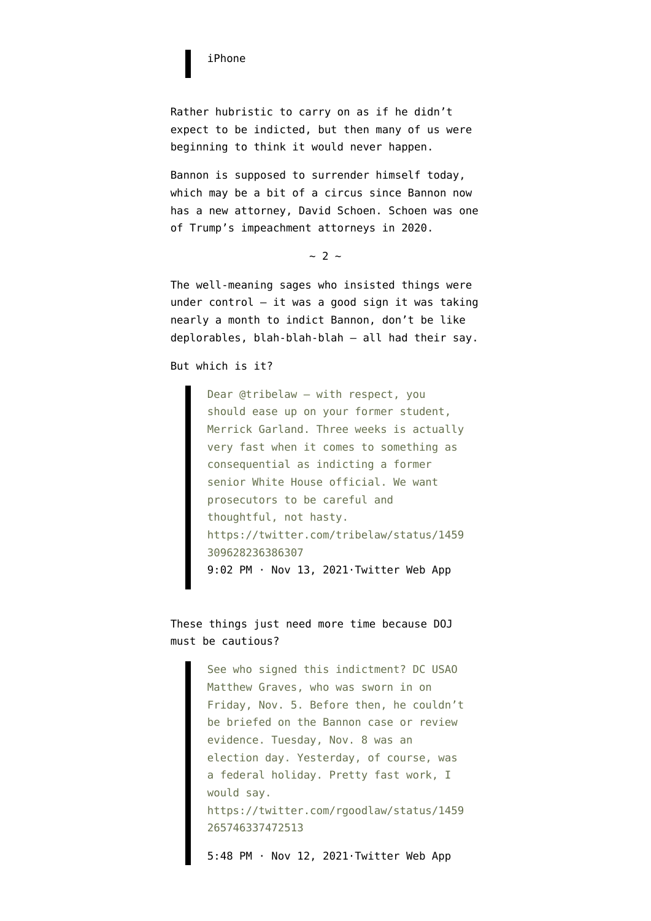## [iPhone](https://twitter.com/Acyn/status/1459295203504754690?ref_src=twsrc%5Etfw)

Rather hubristic to carry on as if he didn't expect to be indicted, but then many of us were beginning to think it would never happen.

Bannon is supposed to [surrender himself today](https://www.nbcnews.com/politics/justice-department/former-trump-adviser-steve-bannon-indicted-federal-grand-jury-contempt-n1283834), which may be a bit of a circus since Bannon [now](https://twitter.com/cryanbarber/status/1460117368709992449) [has a new attorney, David Schoen.](https://twitter.com/cryanbarber/status/1460117368709992449) Schoen was one of Trump's impeachment attorneys in 2020.

 $~\sim~2~\sim~$ 

The well-meaning sages who insisted things were under control  $-$  it was a good sign it was taking nearly a month to indict Bannon, don't be like deplorables, blah-blah-blah — all had their say.

But which is it?

Dear @tribelaw – with respect, you should ease up on your former student, Merrick Garland. Three weeks is actually very fast when it comes to something as consequential as indicting a former senior White House official. We want prosecutors to be careful and thoughtful, not hasty. https://twitter.com/tribelaw/status/1459 309628236386307 [9:02 PM · Nov 13, 2021·Twitter Web App](https://twitter.com/RDEliason/status/1459703318176051205?ref_src=twsrc%5Etfw)

These things just need more time because DOJ must be cautious?

> See who signed this indictment? DC USAO Matthew Graves, who was sworn in on Friday, Nov. 5. Before then, he couldn't be briefed on the Bannon case or review evidence. Tuesday, Nov. 8 was an election day. Yesterday, of course, was a federal holiday. Pretty fast work, I would say. https://twitter.com/rgoodlaw/status/1459 265746337472513

[5:48 PM · Nov 12, 2021·Twitter Web App](https://twitter.com/Delavegalaw/status/1459292050386558983?ref_src=twsrc%5Etfw)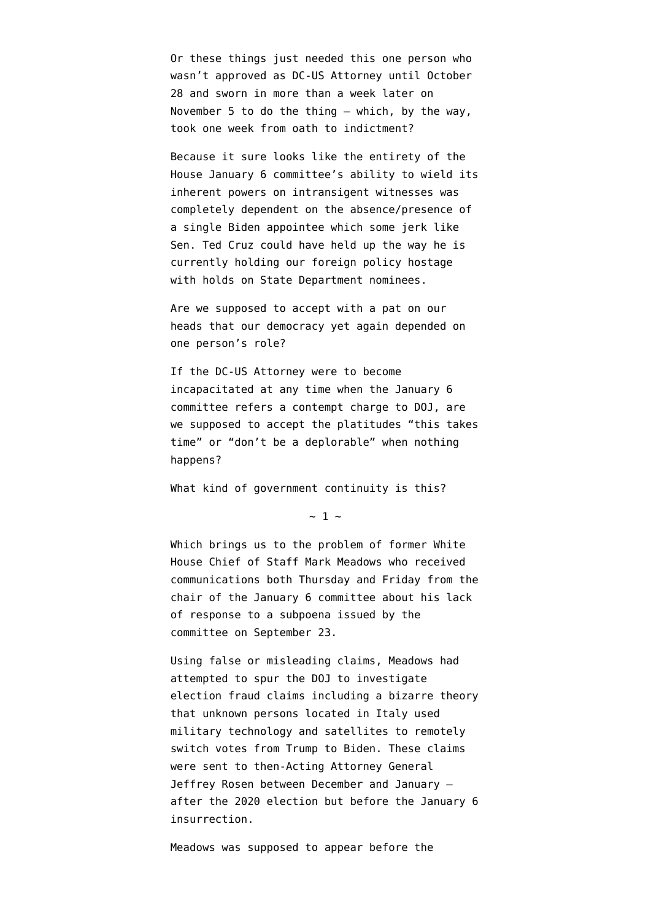Or these things just needed this one person who wasn't approved as DC-US Attorney until October 28 and sworn in more than a week later on November 5 to do the thing — which, by the way, took one week from oath to indictment?

Because it sure looks like the entirety of the House January 6 committee's ability to wield its inherent powers on intransigent witnesses was completely dependent on the absence/presence of a single Biden appointee which some jerk like Sen. Ted Cruz could have held up the way he is currently [holding our foreign policy hostage](https://www.govexec.com/oversight/2021/10/sen-ted-cruz-delays-dozens-president-joe-bidens-ambassador-nominations-stoking-feud-over-national-security/186478/) [with holds on State Department nominees.](https://www.govexec.com/oversight/2021/10/sen-ted-cruz-delays-dozens-president-joe-bidens-ambassador-nominations-stoking-feud-over-national-security/186478/)

Are we supposed to accept with a pat on our heads that our democracy yet again depended on one person's role?

If the DC-US Attorney were to become incapacitated at any time when the January 6 committee refers a contempt charge to DOJ, are we supposed to accept the platitudes "this takes time" or "don't be a deplorable" when nothing happens?

What kind of government continuity is this?

 $\sim$  1  $\sim$ 

Which brings us to the problem of former White House Chief of Staff Mark Meadows who received communications both Thursday and Friday from the chair of the January 6 committee about his lack of response to a subpoena issued by the committee on September 23.

Using false or misleading claims, Meadows had attempted to spur the DOJ to investigate election fraud claims including a bizarre theory that unknown persons located in Italy used military technology and satellites to remotely switch votes from Trump to Biden. These claims were sent to then-Acting Attorney General Jeffrey Rosen between December and January after the 2020 election but before the January 6 insurrection.

Meadows was supposed to appear before the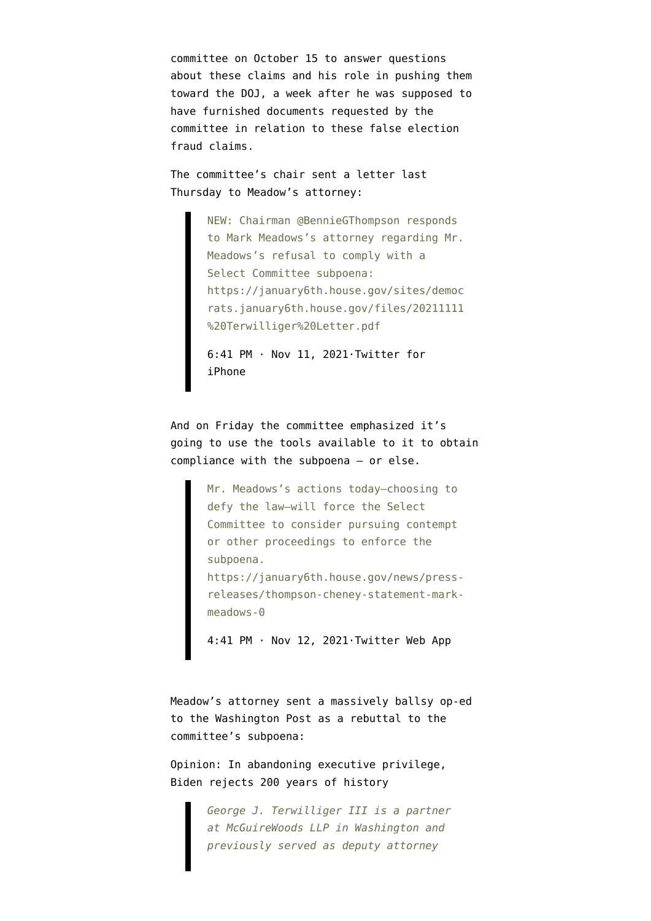committee on October 15 to answer questions about these claims and his role in pushing them toward the DOJ, a week after he was supposed to have furnished documents requested by the committee in relation to these false election fraud claims.

The committee's chair sent a letter last Thursday to Meadow's attorney:

> NEW: Chairman @BennieGThompson responds to Mark Meadows's attorney regarding Mr. Meadows's refusal to comply with a Select Committee subpoena: https://january6th.house.gov/sites/democ rats.january6th.house.gov/files/20211111 %20Terwilliger%20Letter.pdf

[6:41 PM · Nov 11, 2021·Twitter for](https://twitter.com/January6thCmte/status/1458942967000055811?ref_src=twsrc%5Etfw) [iPhone](https://twitter.com/January6thCmte/status/1458942967000055811?ref_src=twsrc%5Etfw)

And on Friday the committee emphasized it's going to use the tools available to it to obtain compliance with the subpoena — or else.

> Mr. Meadows's actions today—choosing to defy the law—will force the Select Committee to consider pursuing contempt or other proceedings to enforce the subpoena. https://january6th.house.gov/news/pressreleases/thompson-cheney-statement-markmeadows-0

[4:41 PM · Nov 12, 2021·Twitter Web App](https://twitter.com/January6thCmte/status/1459275127271657475?ref_src=twsrc%5Etfw)

Meadow's attorney sent a massively ballsy op-ed to the Washington Post as a rebuttal to the committee's subpoena:

[Opinion: In abandoning executive privilege,](https://www.washingtonpost.com/opinions/2021/11/13/abandoning-executive-privilege-biden-rejects-200-years-history/) [Biden rejects 200 years of history](https://www.washingtonpost.com/opinions/2021/11/13/abandoning-executive-privilege-biden-rejects-200-years-history/)

> *George J. Terwilliger III is a partner at McGuireWoods LLP in Washington and previously served as deputy attorney*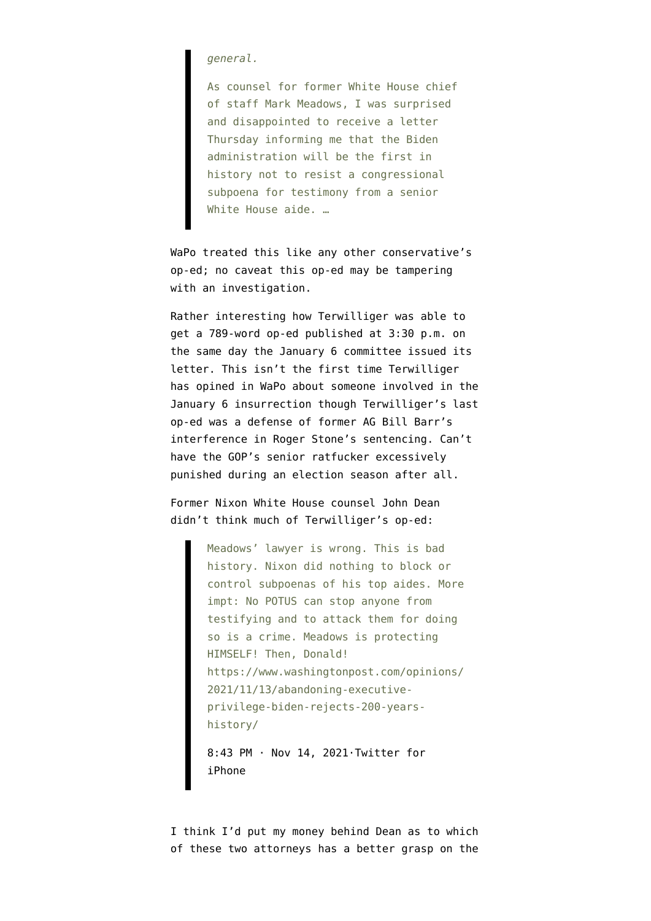*general.*

As counsel for former White House chief of staff Mark Meadows, I was surprised and disappointed to receive a letter Thursday informing me that the Biden administration will be the first in history not to resist a congressional subpoena for testimony from a senior White House aide. …

WaPo treated this like any other conservative's op-ed; no caveat this op-ed may be tampering with an investigation.

Rather interesting how Terwilliger was able to get a 789-word op-ed published at 3:30 p.m. on the same day the January 6 committee issued its letter. This isn't the first time Terwilliger has opined in WaPo about someone involved in the January 6 insurrection though Terwilliger's last op-ed was a [defense of former AG Bill Barr's](https://www.washingtonpost.com/opinions/the-attorney-general-deserves-the-benefit-of-the-doubt-in-the-roger-stone-case/2020/03/03/ffc8de5c-5bdc-11ea-ac50-18701e14e06d_story.html) [interference in Roger Stone's sentencing.](https://www.washingtonpost.com/opinions/the-attorney-general-deserves-the-benefit-of-the-doubt-in-the-roger-stone-case/2020/03/03/ffc8de5c-5bdc-11ea-ac50-18701e14e06d_story.html) Can't have the GOP's senior ratfucker excessively punished during an election season after all.

Former Nixon White House counsel [John Dean](https://en.wikipedia.org/wiki/John_Dean) didn't think much of Terwilliger's op-ed:

> Meadows' lawyer is wrong. This is bad history. Nixon did nothing to block or control subpoenas of his top aides. More impt: No POTUS can stop anyone from testifying and to attack them for doing so is a crime. Meadows is protecting HIMSELF! Then, Donald! https://www.washingtonpost.com/opinions/ 2021/11/13/abandoning-executiveprivilege-biden-rejects-200-yearshistory/

[8:43 PM · Nov 14, 2021·Twitter for](https://twitter.com/JohnWDean/status/1460060972345806851?ref_src=twsrc%5Etfw) [iPhone](https://twitter.com/JohnWDean/status/1460060972345806851?ref_src=twsrc%5Etfw)

I think I'd put my money behind Dean as to which of these two attorneys has a better grasp on the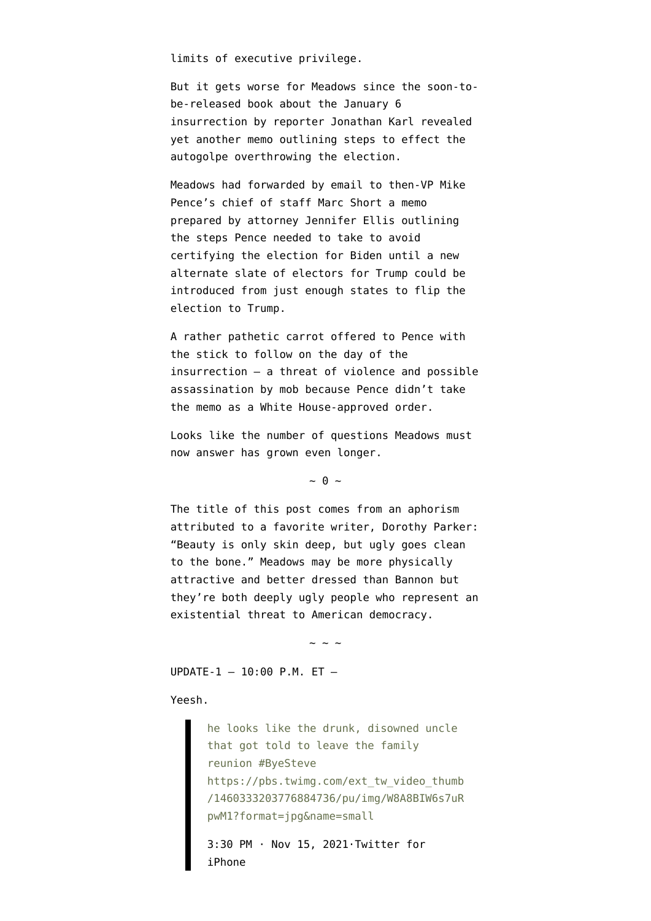limits of executive privilege.

But it gets worse for Meadows since the soon-tobe-released book about the January 6 insurrection by reporter Jonathan Karl [revealed](https://abcnews.go.com/Politics/memo-trump-attorney-outlined-pence-overturn-election-book/story?id=81134003) [yet another memo](https://abcnews.go.com/Politics/memo-trump-attorney-outlined-pence-overturn-election-book/story?id=81134003) outlining steps to effect the autogolpe overthrowing the election.

Meadows had forwarded by email to then-VP Mike Pence's chief of staff Marc Short a memo prepared by attorney Jennifer Ellis outlining the steps Pence needed to take to avoid certifying the election for Biden until a new alternate slate of electors for Trump could be introduced from just enough states to flip the election to Trump.

A rather pathetic carrot offered to Pence with the stick to follow on the day of the insurrection — a threat of violence and possible assassination by mob because Pence didn't take the memo as a White House-approved order.

Looks like the number of questions Meadows must now answer has grown even longer.

 $\sim$  0  $\sim$ 

The title of this post comes from an aphorism attributed to a favorite writer, Dorothy Parker: "Beauty is only skin deep, but ugly goes clean to the bone." Meadows may be more physically attractive and better dressed than Bannon but they're both deeply ugly people who represent an existential threat to American democracy.

 $\sim$  ~ ~

UPDATE-1 — 10:00 P.M. ET —

Yeesh.

he looks like the drunk, disowned uncle that got told to leave the family reunion #ByeSteve https://pbs.twimg.com/ext\_tw\_video\_thumb /1460333203776884736/pu/img/W8A8BIW6s7uR pwM1?format=jpg&name=small [3:30 PM · Nov 15, 2021·Twitter for](https://twitter.com/Ally_Sammarco/status/1460344431480131589?ref_src=twsrc%5Etfw)

[iPhone](https://twitter.com/Ally_Sammarco/status/1460344431480131589?ref_src=twsrc%5Etfw)